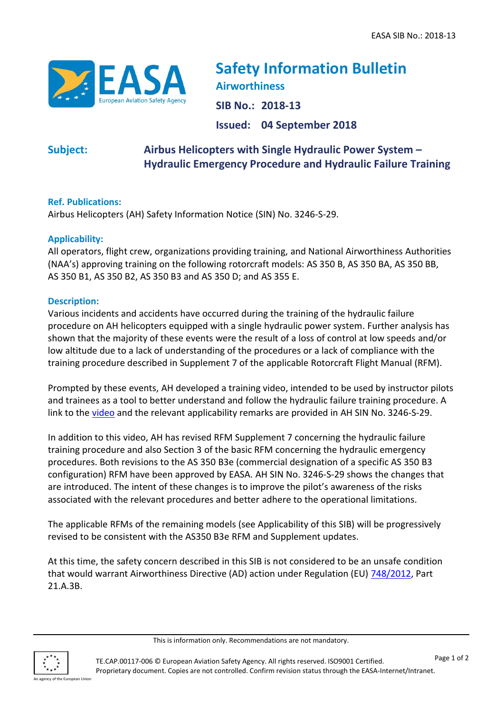

**Safety Information Bulletin Airworthiness SIB No.: 2018-13 Issued: 04 September 2018**

# **Subject: Airbus Helicopters with Single Hydraulic Power System – Hydraulic Emergency Procedure and Hydraulic Failure Training**

## **Ref. Publications:**

Airbus Helicopters (AH) Safety Information Notice (SIN) No. 3246-S-29.

### **Applicability:**

All operators, flight crew, organizations providing training, and National Airworthiness Authorities (NAA's) approving training on the following rotorcraft models: AS 350 B, AS 350 BA, AS 350 BB, AS 350 B1, AS 350 B2, AS 350 B3 and AS 350 D; and AS 355 E.

#### **Description:**

Various incidents and accidents have occurred during the training of the hydraulic failure procedure on AH helicopters equipped with a single hydraulic power system. Further analysis has shown that the majority of these events were the result of a loss of control at low speeds and/or low altitude due to a lack of understanding of the procedures or a lack of compliance with the training procedure described in Supplement 7 of the applicable Rotorcraft Flight Manual (RFM).

Prompted by these events, AH developed a training video, intended to be used by instructor pilots and trainees as a tool to better understand and follow the hydraulic failure training procedure. A link to the [video](https://dai.ly/k35kJCQ5f47SQcrffPU) and the relevant applicability remarks are provided in AH SIN No. 3246-S-29.

In addition to this video, AH has revised RFM Supplement 7 concerning the hydraulic failure training procedure and also Section 3 of the basic RFM concerning the hydraulic emergency procedures. Both revisions to the AS 350 B3e (commercial designation of a specific AS 350 B3 configuration) RFM have been approved by EASA. AH SIN No. 3246-S-29 shows the changes that are introduced. The intent of these changes is to improve the pilot's awareness of the risks associated with the relevant procedures and better adhere to the operational limitations.

The applicable RFMs of the remaining models (see Applicability of this SIB) will be progressively revised to be consistent with the AS350 B3e RFM and Supplement updates.

At this time, the safety concern described in this SIB is not considered to be an unsafe condition that would warrant Airworthiness Directive (AD) action under Regulation (EU) [748/2012,](http://eur-lex.europa.eu/LexUriServ/LexUriServ.do?uri=OJ:L:2012:224:0001:0085:EN:PDF) Part 21.A.3B.



This is information only. Recommendations are not mandatory.